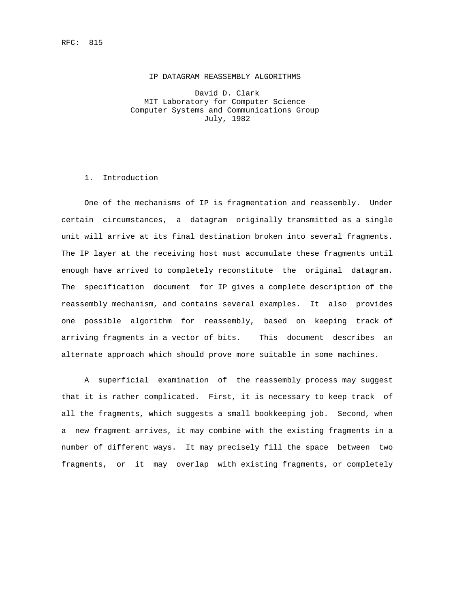David D. Clark MIT Laboratory for Computer Science Computer Systems and Communications Group July, 1982

## 1. Introduction

 One of the mechanisms of IP is fragmentation and reassembly. Under certain circumstances, a datagram originally transmitted as a single unit will arrive at its final destination broken into several fragments. The IP layer at the receiving host must accumulate these fragments until enough have arrived to completely reconstitute the original datagram. The specification document for IP gives a complete description of the reassembly mechanism, and contains several examples. It also provides one possible algorithm for reassembly, based on keeping track of arriving fragments in a vector of bits. This document describes an alternate approach which should prove more suitable in some machines.

 A superficial examination of the reassembly process may suggest that it is rather complicated. First, it is necessary to keep track of all the fragments, which suggests a small bookkeeping job. Second, when a new fragment arrives, it may combine with the existing fragments in a number of different ways. It may precisely fill the space between two fragments, or it may overlap with existing fragments, or completely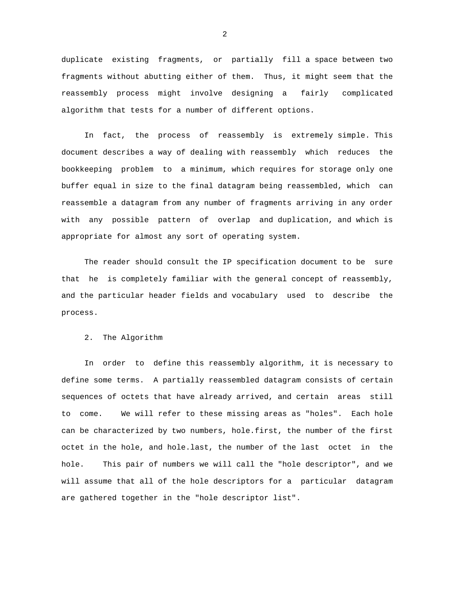duplicate existing fragments, or partially fill a space between two fragments without abutting either of them. Thus, it might seem that the reassembly process might involve designing a fairly complicated algorithm that tests for a number of different options.

 In fact, the process of reassembly is extremely simple. This document describes a way of dealing with reassembly which reduces the bookkeeping problem to a minimum, which requires for storage only one buffer equal in size to the final datagram being reassembled, which can reassemble a datagram from any number of fragments arriving in any order with any possible pattern of overlap and duplication, and which is appropriate for almost any sort of operating system.

 The reader should consult the IP specification document to be sure that he is completely familiar with the general concept of reassembly, and the particular header fields and vocabulary used to describe the process.

## 2. The Algorithm

 In order to define this reassembly algorithm, it is necessary to define some terms. A partially reassembled datagram consists of certain sequences of octets that have already arrived, and certain areas still to come. We will refer to these missing areas as "holes". Each hole can be characterized by two numbers, hole.first, the number of the first octet in the hole, and hole.last, the number of the last octet in the hole. This pair of numbers we will call the "hole descriptor", and we will assume that all of the hole descriptors for a particular datagram are gathered together in the "hole descriptor list".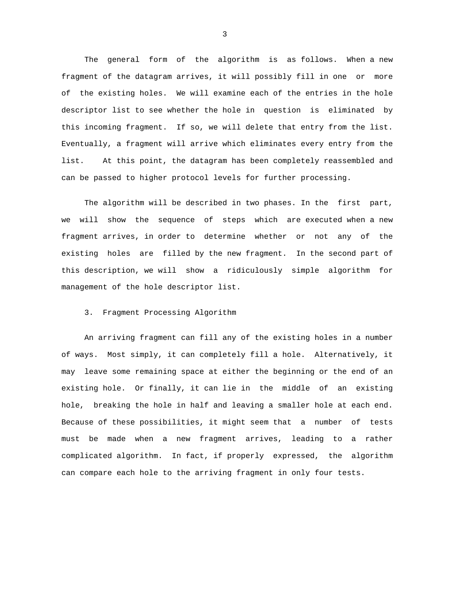The general form of the algorithm is as follows. When a new fragment of the datagram arrives, it will possibly fill in one or more of the existing holes. We will examine each of the entries in the hole descriptor list to see whether the hole in question is eliminated by this incoming fragment. If so, we will delete that entry from the list. Eventually, a fragment will arrive which eliminates every entry from the list. At this point, the datagram has been completely reassembled and can be passed to higher protocol levels for further processing.

 The algorithm will be described in two phases. In the first part, we will show the sequence of steps which are executed when a new fragment arrives, in order to determine whether or not any of the existing holes are filled by the new fragment. In the second part of this description, we will show a ridiculously simple algorithm for management of the hole descriptor list.

## 3. Fragment Processing Algorithm

 An arriving fragment can fill any of the existing holes in a number of ways. Most simply, it can completely fill a hole. Alternatively, it may leave some remaining space at either the beginning or the end of an existing hole. Or finally, it can lie in the middle of an existing hole, breaking the hole in half and leaving a smaller hole at each end. Because of these possibilities, it might seem that a number of tests must be made when a new fragment arrives, leading to a rather complicated algorithm. In fact, if properly expressed, the algorithm can compare each hole to the arriving fragment in only four tests.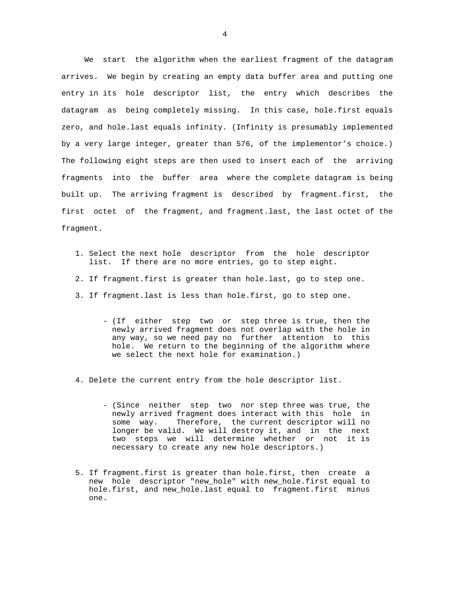We start the algorithm when the earliest fragment of the datagram arrives. We begin by creating an empty data buffer area and putting one entry in its hole descriptor list, the entry which describes the datagram as being completely missing. In this case, hole.first equals zero, and hole.last equals infinity. (Infinity is presumably implemented by a very large integer, greater than 576, of the implementor's choice.) The following eight steps are then used to insert each of the arriving fragments into the buffer area where the complete datagram is being built up. The arriving fragment is described by fragment.first, the first octet of the fragment, and fragment.last, the last octet of the fragment.

- 1. Select the next hole descriptor from the hole descriptor list. If there are no more entries, go to step eight.
- 2. If fragment.first is greater than hole.last, go to step one.
- 3. If fragment.last is less than hole.first, go to step one.
	- (If either step two or step three is true, then the newly arrived fragment does not overlap with the hole in any way, so we need pay no further attention to this hole. We return to the beginning of the algorithm where we select the next hole for examination.)

4. Delete the current entry from the hole descriptor list.

- (Since neither step two nor step three was true, the newly arrived fragment does interact with this hole in some way. Therefore, the current descriptor will no longer be valid. We will destroy it, and in the next two steps we will determine whether or not it is necessary to create any new hole descriptors.)
- 5. If fragment.first is greater than hole.first, then create a new hole descriptor "new\_hole" with new\_hole.first equal to hole.first, and new\_hole.last equal to fragment.first minus one.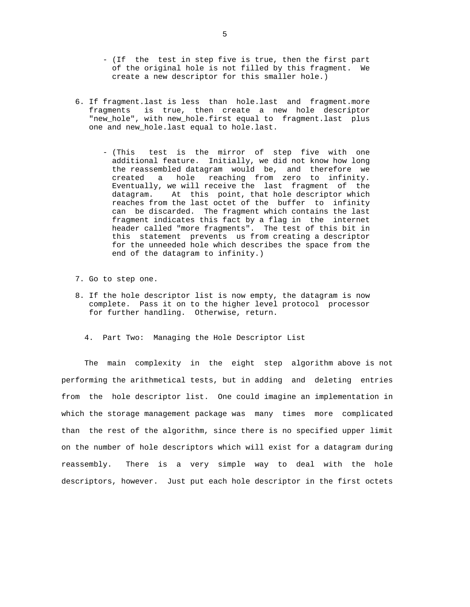- (If the test in step five is true, then the first part of the original hole is not filled by this fragment. We create a new descriptor for this smaller hole.)
- 6. If fragment.last is less than hole.last and fragment.more fragments is true, then create a new hole descriptor "new\_hole", with new\_hole.first equal to fragment.last plus one and new\_hole.last equal to hole.last.
	- (This test is the mirror of step five with one additional feature. Initially, we did not know how long the reassembled datagram would be, and therefore we created a hole reaching from zero to infinity. Eventually, we will receive the last fragment of the datagram. At this point, that hole descriptor which reaches from the last octet of the buffer to infinity can be discarded. The fragment which contains the last fragment indicates this fact by a flag in the internet header called "more fragments". The test of this bit in this statement prevents us from creating a descriptor for the unneeded hole which describes the space from the end of the datagram to infinity.)
- 7. Go to step one.
- 8. If the hole descriptor list is now empty, the datagram is now complete. Pass it on to the higher level protocol processor for further handling. Otherwise, return.
	- 4. Part Two: Managing the Hole Descriptor List

 The main complexity in the eight step algorithm above is not performing the arithmetical tests, but in adding and deleting entries from the hole descriptor list. One could imagine an implementation in which the storage management package was many times more complicated than the rest of the algorithm, since there is no specified upper limit on the number of hole descriptors which will exist for a datagram during reassembly. There is a very simple way to deal with the hole descriptors, however. Just put each hole descriptor in the first octets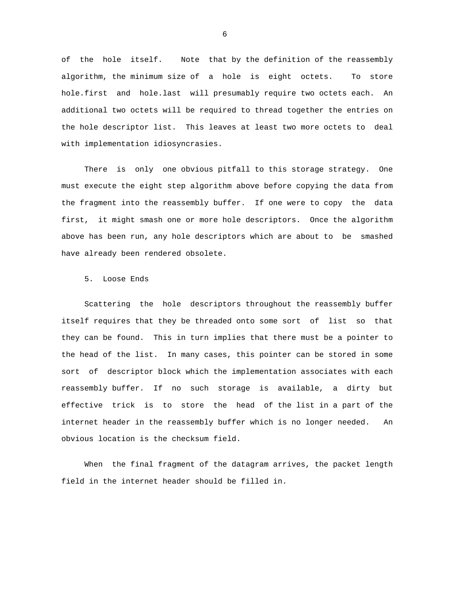of the hole itself. Note that by the definition of the reassembly algorithm, the minimum size of a hole is eight octets. To store hole.first and hole.last will presumably require two octets each. An additional two octets will be required to thread together the entries on the hole descriptor list. This leaves at least two more octets to deal with implementation idiosyncrasies.

 There is only one obvious pitfall to this storage strategy. One must execute the eight step algorithm above before copying the data from the fragment into the reassembly buffer. If one were to copy the data first, it might smash one or more hole descriptors. Once the algorithm above has been run, any hole descriptors which are about to be smashed have already been rendered obsolete.

5. Loose Ends

 Scattering the hole descriptors throughout the reassembly buffer itself requires that they be threaded onto some sort of list so that they can be found. This in turn implies that there must be a pointer to the head of the list. In many cases, this pointer can be stored in some sort of descriptor block which the implementation associates with each reassembly buffer. If no such storage is available, a dirty but effective trick is to store the head of the list in a part of the internet header in the reassembly buffer which is no longer needed. An obvious location is the checksum field.

 When the final fragment of the datagram arrives, the packet length field in the internet header should be filled in.

 $\sim$  6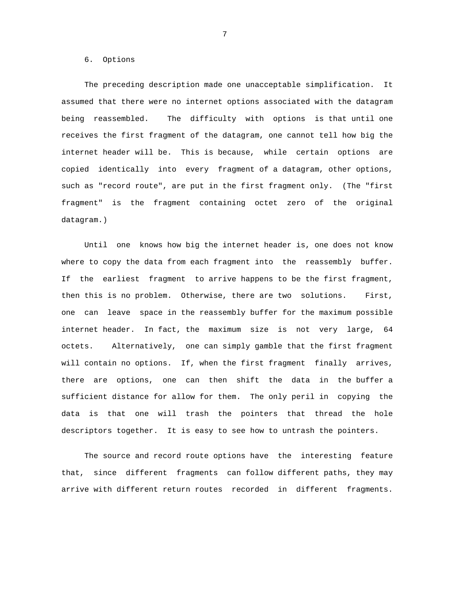6. Options

 The preceding description made one unacceptable simplification. It assumed that there were no internet options associated with the datagram being reassembled. The difficulty with options is that until one receives the first fragment of the datagram, one cannot tell how big the internet header will be. This is because, while certain options are copied identically into every fragment of a datagram, other options, such as "record route", are put in the first fragment only. (The "first fragment" is the fragment containing octet zero of the original datagram.)

 Until one knows how big the internet header is, one does not know where to copy the data from each fragment into the reassembly buffer. If the earliest fragment to arrive happens to be the first fragment, then this is no problem. Otherwise, there are two solutions. First, one can leave space in the reassembly buffer for the maximum possible internet header. In fact, the maximum size is not very large, 64 octets. Alternatively, one can simply gamble that the first fragment will contain no options. If, when the first fragment finally arrives, there are options, one can then shift the data in the buffer a sufficient distance for allow for them. The only peril in copying the data is that one will trash the pointers that thread the hole descriptors together. It is easy to see how to untrash the pointers.

 The source and record route options have the interesting feature that, since different fragments can follow different paths, they may arrive with different return routes recorded in different fragments.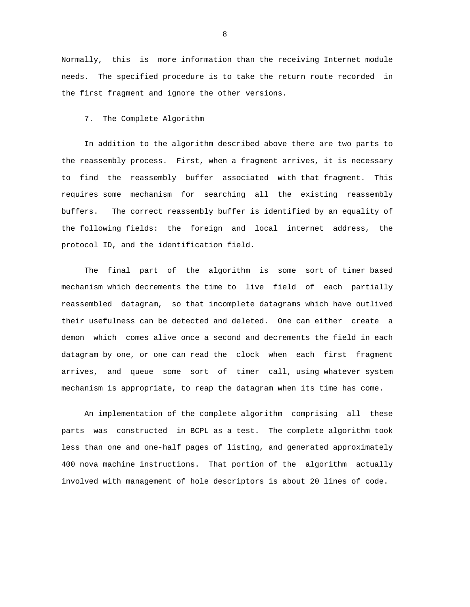Normally, this is more information than the receiving Internet module needs. The specified procedure is to take the return route recorded in the first fragment and ignore the other versions.

7. The Complete Algorithm

 In addition to the algorithm described above there are two parts to the reassembly process. First, when a fragment arrives, it is necessary to find the reassembly buffer associated with that fragment. This requires some mechanism for searching all the existing reassembly buffers. The correct reassembly buffer is identified by an equality of the following fields: the foreign and local internet address, the protocol ID, and the identification field.

 The final part of the algorithm is some sort of timer based mechanism which decrements the time to live field of each partially reassembled datagram, so that incomplete datagrams which have outlived their usefulness can be detected and deleted. One can either create a demon which comes alive once a second and decrements the field in each datagram by one, or one can read the clock when each first fragment arrives, and queue some sort of timer call, using whatever system mechanism is appropriate, to reap the datagram when its time has come.

 An implementation of the complete algorithm comprising all these parts was constructed in BCPL as a test. The complete algorithm took less than one and one-half pages of listing, and generated approximately 400 nova machine instructions. That portion of the algorithm actually involved with management of hole descriptors is about 20 lines of code.